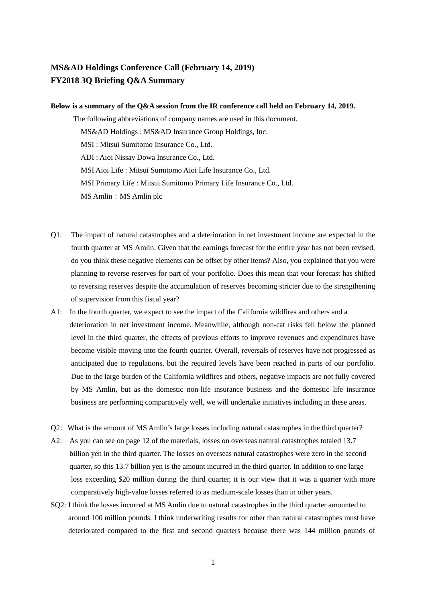## **MS&AD Holdings Conference Call (February 14, 2019) FY2018 3Q Briefing Q&A Summary**

## **Below is a summary of the Q&A session from the IR conference call held on February 14, 2019.**

The following abbreviations of company names are used in this document. MS&AD Holdings : MS&AD Insurance Group Holdings, Inc. MSI : Mitsui Sumitomo Insurance Co., Ltd. ADI : Aioi Nissay Dowa Insurance Co., Ltd. MSI Aioi Life : Mitsui Sumitomo Aioi Life Insurance Co., Ltd. MSI Primary Life : Mitsui Sumitomo Primary Life Insurance Co., Ltd. MS Amlin: MS Amlin plc

- Q1: The impact of natural catastrophes and a deterioration in net investment income are expected in the fourth quarter at MS Amlin. Given that the earnings forecast for the entire year has not been revised, do you think these negative elements can be offset by other items? Also, you explained that you were planning to reverse reserves for part of your portfolio. Does this mean that your forecast has shifted to reversing reserves despite the accumulation of reserves becoming stricter due to the strengthening of supervision from this fiscal year?
- A1: In the fourth quarter, we expect to see the impact of the California wildfires and others and a deterioration in net investment income. Meanwhile, although non-cat risks fell below the planned level in the third quarter, the effects of previous efforts to improve revenues and expenditures have become visible moving into the fourth quarter. Overall, reversals of reserves have not progressed as anticipated due to regulations, but the required levels have been reached in parts of our portfolio. Due to the large burden of the California wildfires and others, negative impacts are not fully covered by MS Amlin, but as the domestic non-life insurance business and the domestic life insurance business are performing comparatively well, we will undertake initiatives including in these areas.
- Q2: What is the amount of MS Amlin's large losses including natural catastrophes in the third quarter?
- A2: As you can see on page 12 of the materials, losses on overseas natural catastrophes totaled 13.7 billion yen in the third quarter. The losses on overseas natural catastrophes were zero in the second quarter, so this 13.7 billion yen is the amount incurred in the third quarter. In addition to one large loss exceeding \$20 million during the third quarter, it is our view that it was a quarter with more comparatively high-value losses referred to as medium-scale losses than in other years.
- SQ2: I think the losses incurred at MS Amlin due to natural catastrophes in the third quarter amounted to around 100 million pounds. I think underwriting results for other than natural catastrophes must have deteriorated compared to the first and second quarters because there was 144 million pounds of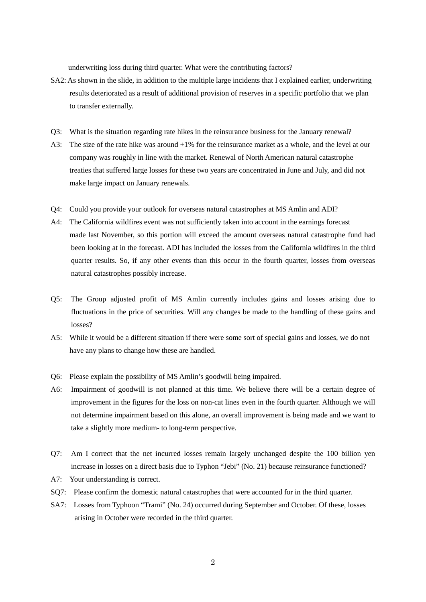underwriting loss during third quarter. What were the contributing factors?

- SA2: As shown in the slide, in addition to the multiple large incidents that I explained earlier, underwriting results deteriorated as a result of additional provision of reserves in a specific portfolio that we plan to transfer externally.
- Q3: What is the situation regarding rate hikes in the reinsurance business for the January renewal?
- A3: The size of the rate hike was around +1% for the reinsurance market as a whole, and the level at our company was roughly in line with the market. Renewal of North American natural catastrophe treaties that suffered large losses for these two years are concentrated in June and July, and did not make large impact on January renewals.
- Q4: Could you provide your outlook for overseas natural catastrophes at MS Amlin and ADI?
- A4: The California wildfires event was not sufficiently taken into account in the earnings forecast made last November, so this portion will exceed the amount overseas natural catastrophe fund had been looking at in the forecast. ADI has included the losses from the California wildfires in the third quarter results. So, if any other events than this occur in the fourth quarter, losses from overseas natural catastrophes possibly increase.
- Q5: The Group adjusted profit of MS Amlin currently includes gains and losses arising due to fluctuations in the price of securities. Will any changes be made to the handling of these gains and losses?
- A5: While it would be a different situation if there were some sort of special gains and losses, we do not have any plans to change how these are handled.
- Q6: Please explain the possibility of MS Amlin's goodwill being impaired.
- A6: Impairment of goodwill is not planned at this time. We believe there will be a certain degree of improvement in the figures for the loss on non-cat lines even in the fourth quarter. Although we will not determine impairment based on this alone, an overall improvement is being made and we want to take a slightly more medium- to long-term perspective.
- Q7: Am I correct that the net incurred losses remain largely unchanged despite the 100 billion yen increase in losses on a direct basis due to Typhon "Jebi" (No. 21) because reinsurance functioned?
- A7: Your understanding is correct.
- SQ7: Please confirm the domestic natural catastrophes that were accounted for in the third quarter.
- SA7: Losses from Typhoon "Trami" (No. 24) occurred during September and October. Of these, losses arising in October were recorded in the third quarter.